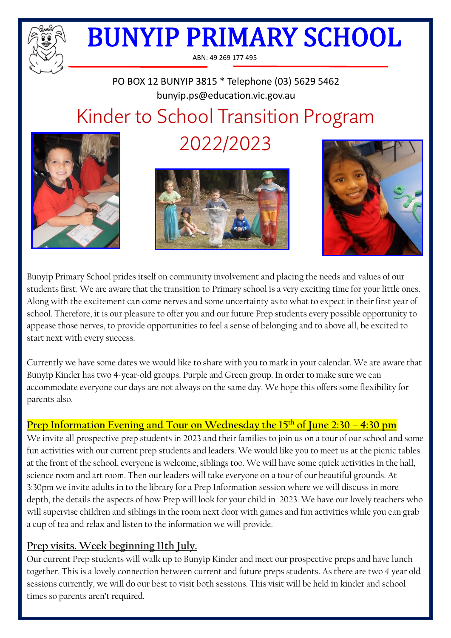

ABN: 49 269 177 495

# PO BOX 12 BUNYIP 3815 \* Telephone (03) 5629 5462 bunyip.ps@education.vic.gov.au Kinder to School Transition Program



2022/2023





Bunyip Primary School prides itself on community involvement and placing the needs and values of our students first. We are aware that the transition to Primary school is a very exciting time for your little ones. Along with the excitement can come nerves and some uncertainty as to what to expect in their first year of school. Therefore, it is our pleasure to offer you and our future Prep students every possible opportunity to appease those nerves, to provide opportunities to feel a sense of belonging and to above all, be excited to start next with every success.

Currently we have some dates we would like to share with you to mark in your calendar. We are aware that Bunyip Kinder has two 4-year-old groups. Purple and Green group. In order to make sure we can accommodate everyone our days are not always on the same day. We hope this offers some flexibility for parents also.

## **Prep Information Evening and Tour on Wednesday the 15th of June 2:30 – 4:30 pm**

We invite all prospective prep students in 2023 and their families to join us on a tour of our school and some fun activities with our current prep students and leaders. We would like you to meet us at the picnic tables at the front of the school, everyone is welcome, siblings too. We will have some quick activities in the hall, science room and art room. Then our leaders will take everyone on a tour of our beautiful grounds. At 3:30pm we invite adults in to the library for a Prep Information session where we will discuss in more depth, the details the aspects of how Prep will look for your child in 2023. We have our lovely teachers who will supervise children and siblings in the room next door with games and fun activities while you can grab a cup of tea and relax and listen to the information we will provide.

#### **Prep visits. Week beginning 11th July.**

Our current Prep students will walk up to Bunyip Kinder and meet our prospective preps and have lunch together. This is a lovely connection between current and future preps students. As there are two 4 year old sessions currently, we will do our best to visit both sessions. This visit will be held in kinder and school times so parents aren't required.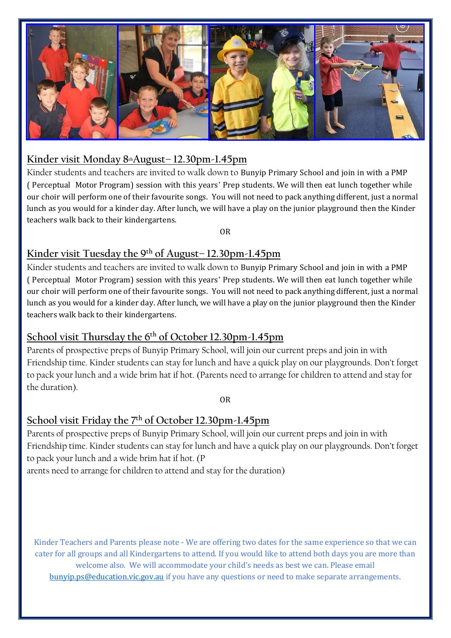

#### **Kinder visit Monday 8thAugust– 12.30pm-1.45pm**

Kinder students and teachers are invited to walk down to Bunyip Primary School and join in with a PMP ( Perceptual Motor Program) session with this years' Prep students. We will then eat lunch together while our choir will perform one of their favourite songs. You will not need to pack anything different, just a normal lunch as you would for a kinder day. After lunch, we will have a play on the junior playground then the Kinder teachers walk back to their kindergartens.

OR

## **Kinder visit Tuesday the 9th of August– 12.30pm-1.45pm**

Kinder students and teachers are invited to walk down to Bunyip Primary School and join in with a PMP ( Perceptual Motor Program) session with this years' Prep students. We will then eat lunch together while our choir will perform one of their favourite songs. You will not need to pack anything different, just a normal lunch as you would for a kinder day. After lunch, we will have a play on the junior playground then the Kinder teachers walk back to their kindergartens.

## **School visit Thursday the 6 th of October 12.30pm-1.45pm**

Parents of prospective preps of Bunyip Primary School, will join our current preps and join in with Friendship time. Kinder students can stay for lunch and have a quick play on our playgrounds. Don't forget to pack your lunch and a wide brim hat if hot. (Parents need to arrange for children to attend and stay for the duration).

OR

## **School visit Friday the 7th of October 12.30pm-1.45pm**

Parents of prospective preps of Bunyip Primary School, will join our current preps and join in with Friendship time. Kinder students can stay for lunch and have a quick play on our playgrounds. Don't forget to pack your lunch and a wide brim hat if hot. (P

arents need to arrange for children to attend and stay for the duration)

Kinder Teachers and Parents please note - We are offering two dates for the same experience so that we can cater for all groups and all Kindergartens to attend. If you would like to attend both days you are more than welcome also. We will accommodate your child's needs as best we can. Please email [bunyip.ps@education.vic.gov.au](mailto:bunyip.ps@education.vic.gov.au) if you have any questions or need to make separate arrangements.